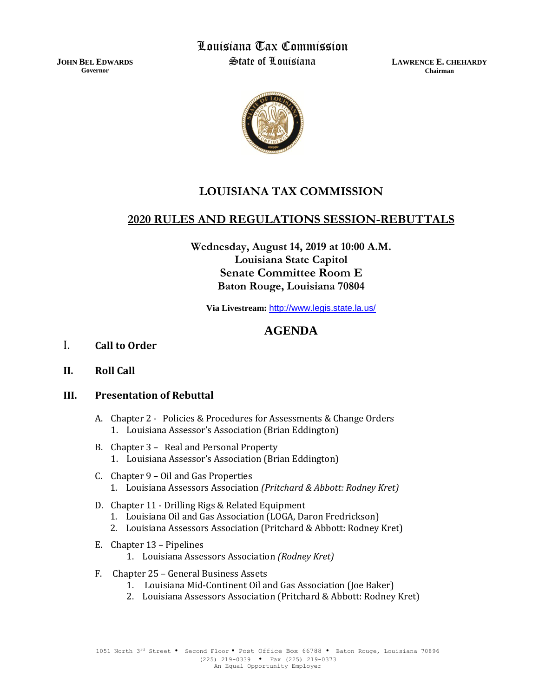**JOHN BEL EDWARDS Governor**

Louisiana Tax Commission State of Louisiana

**LAWRENCE E. CHEHARDY Chairman**



## **LOUISIANA TAX COMMISSION**

### **2020 RULES AND REGULATIONS SESSION-REBUTTALS**

**Wednesday, August 14, 2019 at 10:00 A.M. Louisiana State Capitol Senate Committee Room E Baton Rouge, Louisiana 70804**

**Via Livestream:** <http://www.legis.state.la.us/>

# **AGENDA**

- I. **Call to Order**
- **II. Roll Call**

#### **III. Presentation of Rebuttal**

- A. Chapter 2 Policies & Procedures for Assessments & Change Orders 1. Louisiana Assessor's Association (Brian Eddington)
- B. Chapter 3 Real and Personal Property 1. Louisiana Assessor's Association (Brian Eddington)
- C. Chapter 9 Oil and Gas Properties 1. Louisiana Assessors Association *(Pritchard & Abbott: Rodney Kret)*
- D. Chapter 11 Drilling Rigs & Related Equipment
	- 1. Louisiana Oil and Gas Association (LOGA, Daron Fredrickson)
	- 2. Louisiana Assessors Association (Pritchard & Abbott: Rodney Kret)
- E. Chapter 13 Pipelines
	- 1. Louisiana Assessors Association *(Rodney Kret)*
- F. Chapter 25 General Business Assets
	- 1. Louisiana Mid-Continent Oil and Gas Association (Joe Baker)
	- 2. Louisiana Assessors Association (Pritchard & Abbott: Rodney Kret)